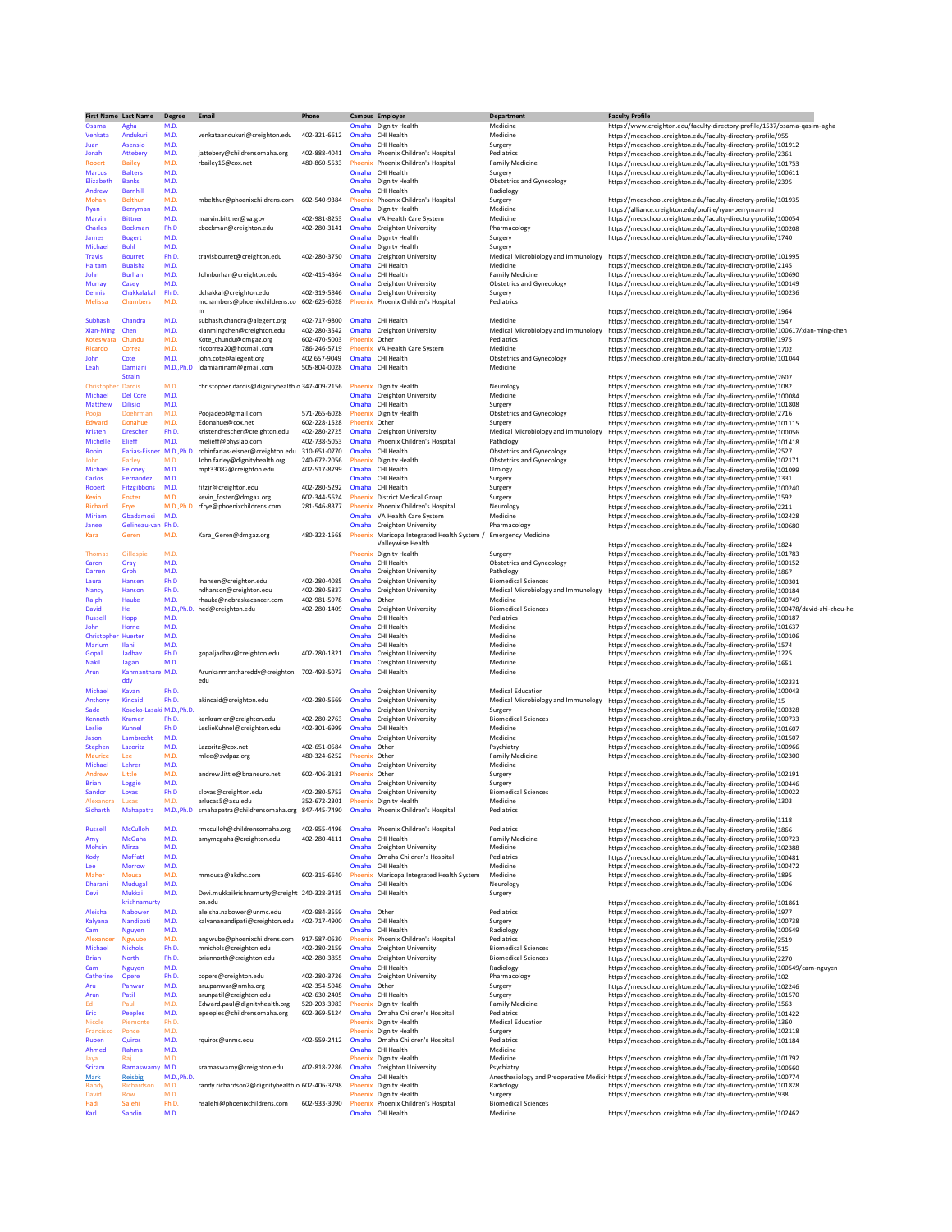| First Name Last Name       |                                | <b>Degree</b> | Email                                                      | Phone                               |                  | Campus Employer                                        | <b>Department</b>                                 | <b>Faculty Profile</b>                                                                                                               |
|----------------------------|--------------------------------|---------------|------------------------------------------------------------|-------------------------------------|------------------|--------------------------------------------------------|---------------------------------------------------|--------------------------------------------------------------------------------------------------------------------------------------|
| Osama                      | Agha                           | M.D.          |                                                            |                                     | Omaha            | Dignity Health                                         | Medicine                                          | https://www.creighton.edu/faculty-directory-profile/1537/osama-qasim-agha                                                            |
| Venkata                    | Andukuri                       | M.D.          | venkataandukuri@creighton.edu                              | 402-321-6612                        | Omaha            | CHI Health                                             | Medicine                                          | https://medschool.creighton.edu/faculty-directory-profile/955                                                                        |
| Juan                       | Asensio                        | M.D.          |                                                            |                                     | Omaha            | CHI Health                                             | Surgery                                           | https://medschool.creighton.edu/faculty-directory-profile/101912                                                                     |
| Jonah                      | Attebery                       | M.D.          | jattebery@childrensomaha.org                               | 402-888-4041                        | Omaha            | Phoenix Children's Hospital                            | Pediatrics                                        | https://medschool.creighton.edu/faculty-directory-profile/2361                                                                       |
| Robert                     | <b>Bailey</b>                  | M.D.          | rbailey16@cox.net                                          | 480-860-5533                        | Phoenix          | Phoenix Children's Hospital                            | <b>Family Medicine</b>                            | https://medschool.creighton.edu/faculty-directory-profile/101753                                                                     |
| <b>Marcus</b><br>Elizabeth | <b>Balters</b><br><b>Banks</b> | M.D.<br>M.D.  |                                                            |                                     | Omaha<br>Omaha   | CHI Health<br>Dignity Health                           | Surgery                                           | https://medschool.creighton.edu/faculty-directory-profile/100611                                                                     |
| Andrew                     | <b>Barnhill</b>                | M.D.          |                                                            |                                     | Omaha            | CHI Health                                             | Obstetrics and Gynecology<br>Radiology            | https://medschool.creighton.edu/faculty-directory-profile/2395                                                                       |
| Mohan                      | <b>Belthur</b>                 | M.D.          | mbelthur@phoenixchildrens.com                              | 602-540-9384                        | Phoenix          | Phoenix Children's Hospital                            | Surgery                                           | https://medschool.creighton.edu/faculty-directory-profile/101935                                                                     |
| Ryan                       | Berryman                       | M.D.          |                                                            |                                     | Omaha            | Dignity Health                                         | Medicine                                          | https://alliance.creighton.edu/profile/ryan-berryman-md                                                                              |
| Marvin                     | <b>Bittner</b>                 | M.D.          | marvin.bittner@va.gov                                      | 402-981-8253                        | Omaha            | VA Health Care System                                  | Medicine                                          | https://medschool.creighton.edu/faculty-directory-profile/100054                                                                     |
| Charles                    | <b>Bockman</b>                 | Ph.D          | cbockman@creighton.edu                                     | 402-280-3141                        | Omaha            | Creighton University                                   | Pharmacology                                      | https://medschool.creighton.edu/faculty-directory-profile/100208                                                                     |
| James                      | <b>Bogert</b>                  | M.D.          |                                                            |                                     | Omaha            | Dignity Health                                         | Surgery                                           | https://medschool.creighton.edu/faculty-directory-profile/1740                                                                       |
| Michael                    | <b>Bohl</b>                    | M.D.          |                                                            |                                     | Omaha            | Dignity Health                                         | Surgery                                           |                                                                                                                                      |
| <b>Travis</b>              | <b>Bourret</b>                 | Ph.D.         | travisbourret@creighton.edu                                | 402-280-3750                        | Omaha            | Creighton University                                   | Medical Microbiology and Immunology               | https://medschool.creighton.edu/faculty-directory-profile/101995                                                                     |
| Haitam                     | <b>Buaisha</b>                 | M.D.          |                                                            |                                     | Omaha            | CHI Health                                             | Medicine                                          | https://medschool.creighton.edu/faculty-directory-profile/2145                                                                       |
| John                       | <b>Burhan</b>                  | M.D.          | Johnburhan@creighton.edu                                   | 402-415-4364                        | Omaha            | CHI Health                                             | <b>Family Medicine</b>                            | https://medschool.creighton.edu/faculty-directory-profile/100690                                                                     |
| Murray                     | Casev                          | M.D.          |                                                            |                                     | Omaha            | Creighton University                                   | Obstetrics and Gynecology                         | https://medschool.creighton.edu/faculty-directory-profile/100149                                                                     |
| Dennis                     | Chakkalakal                    | Ph.D.         | dchakkal@creighton.edu                                     | 402-319-5846                        | Omaha            | <b>Creighton University</b>                            | Surgery                                           | https://medschool.creighton.edu/faculty-directory-profile/100236                                                                     |
| <b>Melissa</b>             | Chambers                       | M.D.          | mchambers@phoenixchildrens.co                              | 602-625-6028                        | Phoenix          | Phoenix Children's Hospital                            | Pediatrics                                        |                                                                                                                                      |
|                            |                                |               | m                                                          |                                     |                  |                                                        |                                                   | https://medschool.creighton.edu/faculty-directory-profile/1964                                                                       |
| Subhash                    | Chandra                        | M.D.          | subhash.chandra@alegent.org                                | 402-717-9800                        | Omaha            | CHI Health                                             | Medicine                                          | https://medschool.creighton.edu/faculty-directory-profile/1547                                                                       |
| <b>Xian-Ming</b>           | Chen                           | M.D.<br>M.D.  | xianmingchen@creighton.edu                                 | 402-280-3542<br>602-470-5003        | Omaha<br>Phoenix | Creighton University<br>Other                          | Medical Microbiology and Immunology<br>Pediatrics | https://medschool.creighton.edu/faculty-directory-profile/100617/xian-ming-chen                                                      |
| Koteswara<br>Ricardo       | Chundu<br>Correa               | M.D.          | Kote chundu@dmgaz.org<br>riccorrea20@hotmail.com           | 786-246-5719                        | Phoenix          | VA Health Care System                                  | Medicine                                          | https://medschool.creighton.edu/faculty-directory-profile/1975                                                                       |
| John                       | Cote                           | M.D.          | john.cote@alegent.org                                      | 402 657-9049                        | Omaha            | CHI Health                                             | Obstetrics and Gynecology                         | https://medschool.creighton.edu/faculty-directory-profile/1702<br>https://medschool.creighton.edu/faculty-directory-profile/101044   |
| Leah                       | Damiani                        | M.D., Ph.D    | Idamianinam@gmail.com                                      | 505-804-0028                        | Omaha            | CHI Health                                             | Medicine                                          |                                                                                                                                      |
|                            | <b>Strain</b>                  |               |                                                            |                                     |                  |                                                        |                                                   | https://medschool.creighton.edu/faculty-directory-profile/2607                                                                       |
| Christophe                 | Dardis                         | M.D.          | christopher.dardis@dignityhealth.o 347-409-2156            |                                     | Phoenix          | Dignity Health                                         | Neurology                                         | https://medschool.creighton.edu/faculty-directory-profile/1082                                                                       |
| Michael                    | <b>Del Core</b>                | M.D.          |                                                            |                                     | Omaha            | Creighton University                                   | Medicine                                          | https://medschool.creighton.edu/faculty-directory-profile/100084                                                                     |
| <b>Matthew</b>             | <b>Dilisio</b>                 | M.D.          |                                                            |                                     | Omaha            | CHI Health                                             | Surgery                                           | https://medschool.creighton.edu/faculty-directory-profile/101808                                                                     |
| Pooja                      | Doehrman                       | M.D.          | Poojadeb@gmail.com                                         | 571-265-6028                        | Phoenix          | Dignity Health                                         | Obstetrics and Gynecology                         | https://medschool.creighton.edu/faculty-directory-profile/2716                                                                       |
| <b>Edward</b>              | Donahue                        | M.D.          | Edonahue@cox.net                                           | 602-228-1528                        | Phoenix          | Other                                                  | Surgery                                           | https://medschool.creighton.edu/faculty-directory-profile/101115                                                                     |
| <b>Kristen</b>             | <b>Drescher</b>                | Ph.D.         | kristendrescher@creighton.edu                              | 402-280-2725                        | Omaha            | Creighton University                                   | Medical Microbiology and Immunology               | https://medschool.creighton.edu/faculty-directory-profile/100056                                                                     |
| Michelle                   | Elieff                         | M.D.          | melieff@physlab.com                                        | 402-738-5053                        | Omaha            | Phoenix Children's Hospital                            | Pathology                                         | https://medschool.creighton.edu/faculty-directory-profile/101418                                                                     |
| Robin                      | <b>Farias-Eisner</b>           | M.D., Ph.D.   | robinfarias-eisner@creighton.edu                           | 310-651-0770                        | Omaha            | CHI Health                                             | Obstetrics and Gynecology                         | https://medschool.creighton.edu/faculty-directory-profile/2527                                                                       |
| John                       | Farley                         | M.D.          | John.farley@dignityhealth.org                              | 240-672-2056                        | Phoenix          | Dignity Health                                         | <b>Obstetrics and Gynecology</b>                  | https://medschool.creighton.edu/faculty-directory-profile/102171                                                                     |
| Michael                    | Feloney                        | M.D.          | mpf33082@creighton.edu                                     | 402-517-8799                        | Omaha            | CHI Health                                             | Urology                                           | https://medschool.creighton.edu/faculty-directory-profile/101099                                                                     |
| Carlos                     | Fernandez                      | M.D.          |                                                            |                                     | Omaha            | CHI Health                                             | Surgery                                           | https://medschool.creighton.edu/faculty-directory-profile/1331                                                                       |
| Robert                     | Fitzgibbons                    | M.D.          | fitzjr@creighton.edu                                       | 402-280-5292                        | Omaha            | CHI Health                                             | Surgery                                           | https://medschool.creighton.edu/faculty-directory-profile/100240                                                                     |
| Kevin                      | Foster                         | M.D.          | kevin_foster@dmgaz.org                                     | 602-344-5624                        | Phoenix          | <b>District Medical Group</b>                          | Surgery                                           | https://medschool.creighton.edu/faculty-directory-profile/1592                                                                       |
| Richard                    | Frye                           | M.D., Ph.D.   | rfrye@phoenixchildrens.com                                 | 281-546-8377                        | Phoenix          | Phoenix Children's Hospital                            | <b>Neurology</b>                                  | https://medschool.creighton.edu/faculty-directory-profile/2211                                                                       |
| Miriam                     | Gbadamosi                      | M.D.          |                                                            |                                     | Omaha            | VA Health Care System                                  | Medicine                                          | https://medschool.creighton.edu/faculty-directory-profile/102428                                                                     |
| Janee                      | Gelineau-van Ph.D.             |               |                                                            |                                     | Omaha            | Creighton University                                   | Pharmacology                                      | https://medschool.creighton.edu/faculty-directory-profile/100680                                                                     |
| Kara                       | Geren                          | M.D.          | Kara_Geren@dmgaz.org                                       | 480-322-1568                        | Phoenix          | Maricopa Integrated Health System / Emergency Medicine |                                                   |                                                                                                                                      |
|                            |                                |               |                                                            |                                     |                  | Valleywise Health                                      |                                                   | https://medschool.creighton.edu/faculty-directory-profile/1824                                                                       |
| Thomas                     | Gillespie                      | M.D.<br>M.D.  |                                                            |                                     | Omaha            | Phoenix Dignity Health                                 | Surgery                                           | https://medschool.creighton.edu/faculty-directory-profile/101783                                                                     |
| Caron<br><b>Darrer</b>     | Gray<br>Groh                   | M.D.          |                                                            |                                     | Omaha            | CHI Health<br>Creighton University                     | Obstetrics and Gynecology<br>Pathology            | https://medschool.creighton.edu/faculty-directory-profile/100152                                                                     |
| Laura                      | Hansen                         | Ph.D          | Ihansen@creighton.edu                                      | 402-280-4085                        | Omaha            | Creighton University                                   | <b>Biomedical Sciences</b>                        | https://medschool.creighton.edu/faculty-directory-profile/1867                                                                       |
| Nancy                      | Hanson                         | Ph.D.         | ndhanson@creighton.edu                                     | 402-280-5837                        | Omaha            | Creighton University                                   | Medical Microbiology and Immunology               | https://medschool.creighton.edu/faculty-directory-profile/100301                                                                     |
| Ralph                      | Hauke                          | M.D.          | rhauke@nebraskacancer.com                                  | 402-981-5978                        | Omaha            | Other                                                  | Medicine                                          | https://medschool.creighton.edu/faculty-directory-profile/100184<br>https://medschool.creighton.edu/faculty-directory-profile/100749 |
| David                      | He                             | M.D., Ph.D.   | hed@creighton.edu                                          | 402-280-1409                        | Omaha            | Creighton University                                   | <b>Biomedical Sciences</b>                        | https://medschool.creighton.edu/faculty-directory-profile/100478/david-zhi-zhou-he                                                   |
| <b>Russel</b>              | Hopp                           | M.D.          |                                                            |                                     | Omaha            | CHI Health                                             | Pediatrics                                        | https://medschool.creighton.edu/faculty-directory-profile/100187                                                                     |
| lohn                       | Horne                          | M.D           |                                                            |                                     | Omaha            | CHI Health                                             | Medicine                                          | https://medschool.creighton.edu/faculty-directory-profile/101637                                                                     |
| Christophe                 | Huerter                        | M.D.          |                                                            |                                     | Omaha            | CHI Health                                             | Medicine                                          | https://medschool.creighton.edu/faculty-directory-profile/100106                                                                     |
| Marium                     | <b>Ilahi</b>                   | M.D.          |                                                            |                                     | Omaha            | CHI Health                                             | Medicine                                          | https://medschool.creighton.edu/faculty-directory-profile/1574                                                                       |
| Gopal                      | Jadhav                         | Ph.D          | gopaljadhav@creighton.edu                                  | 402-280-1821                        | Omaha            | Creighton University                                   | Medicine                                          | https://medschool.creighton.edu/faculty-directory-profile/1225                                                                       |
| <b>Nakil</b>               | Jagan                          | M.D           |                                                            |                                     | Omaha            | Creighton University                                   | Medicine                                          | https://medschool.creighton.edu/faculty-directory-profile/1651                                                                       |
| Arun                       | Kanmanthare M.D.               |               | Arunkanmanthareddy@creighton.                              | 702-493-5073                        | Omaha            | CHI Health                                             | Medicine                                          |                                                                                                                                      |
|                            | ddy                            |               | edu                                                        |                                     |                  |                                                        |                                                   | https://medschool.creighton.edu/faculty-directory-profile/102331                                                                     |
| Michael                    | Kavan                          | Ph.D.         |                                                            |                                     | Omaha            | Creighton University                                   | <b>Medical Education</b>                          | https://medschool.creighton.edu/faculty-directory-profile/100043                                                                     |
| Anthony                    | Kincaid                        | Ph.D.         | akincaid@creighton.edu                                     | 402-280-5669                        | Omaha            | Creighton University                                   | Medical Microbiology and Immunology               | https://medschool.creighton.edu/faculty-directory-profile/15                                                                         |
| Sade                       | Kosoko-Lasaki M.D., Ph.D.      |               |                                                            |                                     | Omaha            | Creighton University                                   | Surgery                                           | https://medschool.creighton.edu/faculty-directory-profile/100328                                                                     |
| Kenneth                    | Kramer                         | Ph.D.         | kenkramer@creighton.edu                                    | 402-280-2763                        | Omaha            | Creighton University                                   | <b>Biomedical Sciences</b>                        | https://medschool.creighton.edu/faculty-directory-profile/100733                                                                     |
| Leslie                     | <b>Kuhnel</b>                  | Ph.D          | LeslieKuhnel@creighton.edu                                 | 402-301-6999                        | Omaha            | CHI Health                                             | Medicine                                          | https://medschool.creighton.edu/faculty-directory-profile/101607                                                                     |
| Jason                      | Lambrecht                      | M.D.          |                                                            |                                     | Omaha            | Creighton University                                   | Medicine                                          | https://medschool.creighton.edu/faculty-directory-profile/101507                                                                     |
| <b>Stephen</b>             | Lazoritz                       | M.D.          | Lazoritz@cox.net                                           | 402-651-0584                        | Omaha            | Other                                                  | Psychiatry                                        | https://medschool.creighton.edu/faculty-directory-profile/100966                                                                     |
| Maurice                    | Lee                            | M.D.          | mlee@svdpaz.org                                            | 480-324-6252                        | Phoenix          | Other                                                  | <b>Family Medicine</b>                            | https://medschool.creighton.edu/faculty-directory-profile/102300                                                                     |
| Michael                    | Lehrer                         | M.D.          |                                                            |                                     | Omaha            | Creighton University                                   | Medicine                                          |                                                                                                                                      |
| Andrew<br><b>Brian</b>     | Little                         | M.D.<br>M.D.  | andrew.little@bnaneuro.net                                 | 602-406-3181                        | Phoenix<br>Omaha | Other                                                  | Surgery                                           | https://medschool.creighton.edu/faculty-directory-profile/102191                                                                     |
| Sandor                     | Loggie<br>Lovas                | Ph.D          | slovas@creighton.edu                                       | 402-280-5753                        | Omaha            | Creighton University<br>Creighton University           | Surgery<br><b>Biomedical Sciences</b>             | https://medschool.creighton.edu/faculty-directory-profile/100446<br>https://medschool.creighton.edu/faculty-directory-profile/100022 |
| Alexandra                  | Lucas                          | M.D.          | arlucas5@asu.edu                                           | 352-672-2301 Phoenix Dignity Health |                  |                                                        | Medicine                                          | https://medschool.creighton.edu/faculty-directory-profile/1303                                                                       |
|                            |                                | <b>M.DP</b>   | smanapatra@cniidrensomana.org                              | 445-7490                            |                  | Phoenix Children's Hospital                            | Pediatrics                                        |                                                                                                                                      |
|                            |                                |               |                                                            |                                     |                  |                                                        |                                                   | https://medschool.creighton.edu/faculty-directory-profile/1118                                                                       |
| <b>Russell</b>             | <b>McCulloh</b>                | M.D.          | rmcculloh@childrensomaha.org                               | 402-955-4496                        | Omaha            | Phoenix Children's Hospital                            | Pediatrics                                        | https://medschool.creighton.edu/faculty-directory-profile/1866                                                                       |
| Amv                        | McGaha                         | M.D.          | amymcgaha@creighton.edu                                    | 402-280-4111                        | Omaha            | CHI Health                                             | <b>Family Medicine</b>                            | https://medschool.creighton.edu/faculty-directory-profile/100723                                                                     |
| Mohsin                     | Mirza                          | M.D.          |                                                            |                                     | Omaha            | Creighton University                                   | Medicine                                          | https://medschool.creighton.edu/faculty-directory-profile/102388                                                                     |
| Kody                       | Moffatt                        | M.D.          |                                                            |                                     | Omaha            | Omaha Children's Hospital                              | Pediatrics                                        | https://medschool.creighton.edu/faculty-directory-profile/100481                                                                     |
| Lee                        | Morrow                         | M.D.          |                                                            |                                     | Omaha            | CHI Health                                             | Medicine                                          | https://medschool.creighton.edu/faculty-directory-profile/100472                                                                     |
| Maher                      | Mousa                          | M.D.          | mmousa@akdhc.com                                           | 602-315-6640                        | Phoenix          | Maricopa Integrated Health System                      | Medicine                                          | https://medschool.creighton.edu/faculty-directory-profile/1895                                                                       |
| Dharani                    | Mudugal                        | M.D.          |                                                            |                                     | Omaha            | CHI Health<br>CHI Health                               | <b>Neurology</b>                                  | https://medschool.creighton.edu/faculty-directory-profile/1006                                                                       |
| Devi                       | Mukkai<br>krishnamurty         | M.D.          | Devi.mukkaikrishnamurty@creight 240-328-3435<br>on.edu     |                                     | Omaha            |                                                        | Surgery                                           |                                                                                                                                      |
|                            |                                |               |                                                            |                                     |                  |                                                        |                                                   | https://medschool.creighton.edu/faculty-directory-profile/101861                                                                     |
| Aleisha<br>Kalyana         | Nabower<br>Nandipati           | M.D.<br>M.D.  | aleisha.nabower@unmc.edu<br>kalyananandipati@creighton.edu | 402-984-3559<br>402-717-4900        | Omaha<br>Omaha   | Other<br>CHI Health                                    | Pediatrics                                        | https://medschool.creighton.edu/faculty-directory-profile/1977                                                                       |
| Cam                        |                                | M.D.          |                                                            |                                     | Omaha            | CHI Health                                             | Surgery<br>Radiology                              | https://medschool.creighton.edu/faculty-directory-profile/100738<br>https://medschool.creighton.edu/faculty-directory-profile/100549 |
| Alexander                  | <b>Nguyen</b><br>Newube        | M.D.          | angwube@phoenixchildrens.com                               | 917-587-0530                        | Phoenix          | Phoenix Children's Hospital                            | Pediatrics                                        | https://medschool.creighton.edu/faculty-directory-profile/2519                                                                       |
| Michael                    | <b>Nichols</b>                 | Ph.D.         | mnichols@creighton.edu                                     | 402-280-2159                        | Omaha            | Creighton University                                   | <b>Biomedical Sciences</b>                        | https://medschool.creighton.edu/faculty-directory-profile/515                                                                        |
| <b>Brian</b>               | <b>North</b>                   | Ph.D.         | briannorth@creighton.edu                                   | 402-280-3855                        | Omaha            | Creighton University                                   | <b>Biomedical Sciences</b>                        | https://medschool.creighton.edu/faculty-directory-profile/2270                                                                       |
| Cam                        | <b>Nguyen</b>                  | M.D.          |                                                            |                                     | Omaha            | CHI Health                                             | Radiology                                         | https://medschool.creighton.edu/faculty-directory-profile/100549/cam-nguyen                                                          |
| Catherine                  | Opere                          | Ph.D.         | copere@creighton.edu                                       | 402-280-3726                        | Omaha            | <b>Creighton University</b>                            | Pharmacology                                      | https://medschool.creighton.edu/faculty-directory-profile/102                                                                        |
| Aru                        | Panwar                         | M.D.          | aru.panwar@nmhs.org                                        | 402-354-5048                        | Omaha            | Other                                                  | Surgery                                           | https://medschool.creighton.edu/faculty-directory-profile/102246                                                                     |
| Arur                       | Patil                          | M.D.          | arunpatil@creighton.edu                                    | 402-630-2405                        | Omaha            | CHI Health                                             | Surgery                                           | https://medschool.creighton.edu/faculty-directory-profile/101570                                                                     |
| Ed                         | Paul                           | M.D.          | Edward.paul@dignityhealth.org                              | 520-203-3983                        | Phoenix          | Dignity Health                                         | <b>Family Medicine</b>                            | https://medschool.creighton.edu/faculty-directory-profile/1563                                                                       |
| Eric                       | <b>Peeples</b>                 | M.D.          | epeeples@childrensomaha.org                                | 602-369-5124                        | Omaha            | Omaha Children's Hospital                              | Pediatrics                                        | https://medschool.creighton.edu/faculty-directory-profile/101422                                                                     |
| Nicole                     | Piemonte                       | Ph.D.         |                                                            |                                     | Phoenix          | Dignity Health                                         | <b>Medical Education</b>                          | https://medschool.creighton.edu/faculty-directory-profile/1360                                                                       |
| Francisco                  | Ponce                          | M.D.          |                                                            |                                     | Phoenix          | Dignity Health                                         | Surgery                                           | https://medschool.creighton.edu/faculty-directory-profile/102118                                                                     |
| Ruben                      | Quiros                         | M.D.          | rquiros@unmc.edu                                           | 402-559-2412                        | Omaha            | Omaha Children's Hospital                              | Pediatrics                                        | https://medschool.creighton.edu/faculty-directory-profile/101184                                                                     |
| Ahmed                      | Rahma                          | M.D.          |                                                            |                                     | Omaha            | CHI Health                                             | Medicine                                          |                                                                                                                                      |
| Jaya                       | Raj                            | M.D.          |                                                            |                                     | Phoenix          | Dignity Health                                         | Medicine                                          | https://medschool.creighton.edu/faculty-directory-profile/101792                                                                     |
| Sriram                     | Ramaswamy                      | M.D.          | sramaswamy@creighton.edu                                   | 402-818-2286                        | Omaha            | <b>Creighton University</b>                            | Psychiatry                                        | https://medschool.creighton.edu/faculty-directory-profile/100560                                                                     |
| Mark                       | Reisbig                        | M.D., Ph.D.   |                                                            |                                     | Omaha            | CHI Health                                             |                                                   | Anesthesiology and Preoperative Medicir https://medschool.creighton.edu/faculty-directory-profile/100774                             |
| Randy                      | Richardson                     | M.D.          | randy.richardson2@dignityhealth.o 602-406-3798             |                                     |                  | Phoenix Dignity Health                                 | Radiology                                         | https://medschool.creighton.edu/faculty-directory-profile/101828                                                                     |
| David                      | Row                            | M.D.          |                                                            |                                     | Phoenix          | Dignity Health                                         | Surgery                                           | https://medschool.creighton.edu/faculty-directory-profile/938                                                                        |
| Hadi                       | Salehi                         | Ph.D.         | hsalehi@phoenixchildrens.com                               | 602-933-3090                        | Phoenix          | Phoenix Children's Hospital                            | <b>Biomedical Sciences</b>                        |                                                                                                                                      |
| Karl                       | Sandin                         | M.D.          |                                                            |                                     | Omaha            | CHI Health                                             | Medicine                                          | https://medschool.creighton.edu/faculty-directory-profile/102462                                                                     |